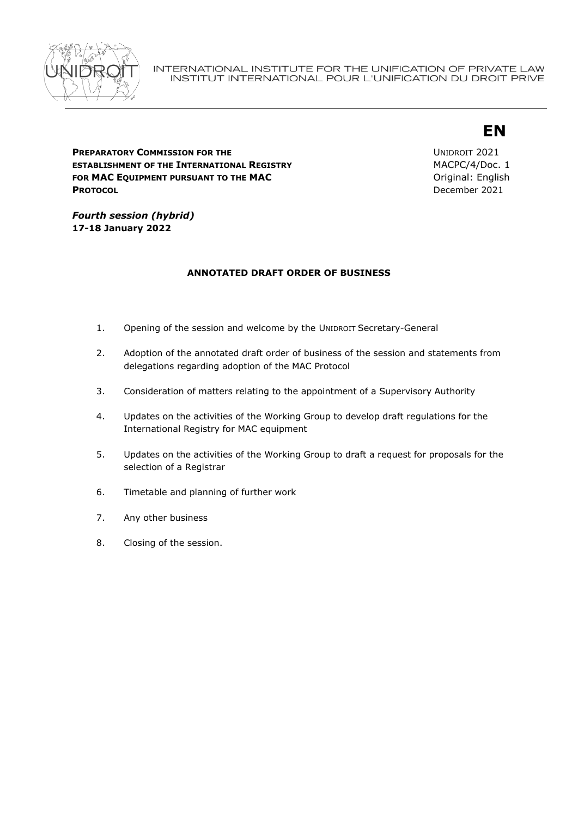

# **EN**

**PREPARATORY COMMISSION FOR THE ESTABLISHMENT OF THE INTERNATIONAL REGISTRY FOR MAC EQUIPMENT PURSUANT TO THE MAC PROTOCOL**

UNIDROIT 2021 MACPC/4/Doc. 1 Original: English December 2021

*Fourth session (hybrid)*  **17-18 January 2022**

## **ANNOTATED DRAFT ORDER OF BUSINESS**

- 1. Opening of the session and welcome by the UNIDROIT Secretary-General
- 2. Adoption of the annotated draft order of business of the session and statements from delegations regarding adoption of the MAC Protocol
- 3. Consideration of matters relating to the appointment of a Supervisory Authority
- 4. Updates on the activities of the Working Group to develop draft regulations for the International Registry for MAC equipment
- 5. Updates on the activities of the Working Group to draft a request for proposals for the selection of a Registrar
- 6. Timetable and planning of further work
- 7. Any other business
- 8. Closing of the session.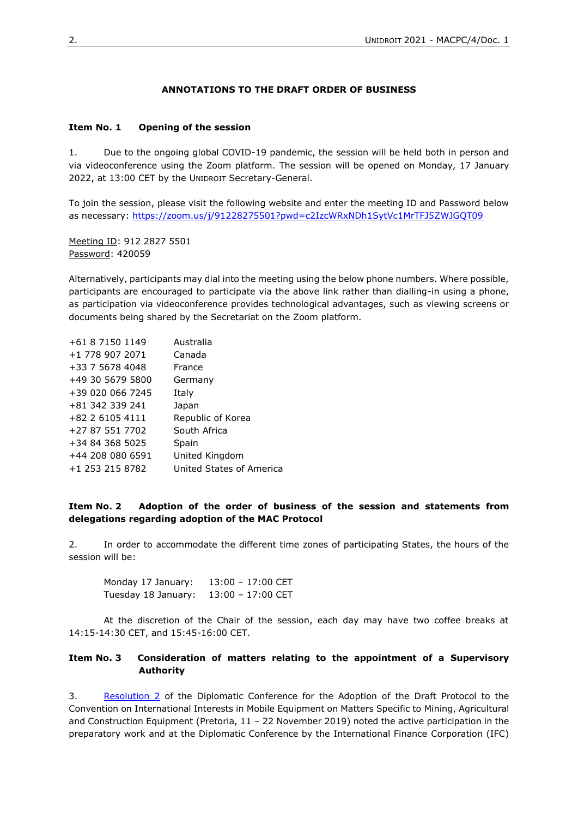#### **ANNOTATIONS TO THE DRAFT ORDER OF BUSINESS**

#### **Item No. 1 Opening of the session**

1. Due to the ongoing global COVID-19 pandemic, the session will be held both in person and via videoconference using the Zoom platform. The session will be opened on Monday, 17 January 2022, at 13:00 CET by the UNIDROIT Secretary-General.

To join the session, please visit the following website and enter the meeting ID and Password below as necessary:<https://zoom.us/j/91228275501?pwd=c2IzcWRxNDh1SytVc1MrTFJ5ZWJGQT09>

Meeting ID: 912 2827 5501 Password: 420059

Alternatively, participants may dial into the meeting using the below phone numbers. Where possible, participants are encouraged to participate via the above link rather than dialling-in using a phone, as participation via videoconference provides technological advantages, such as viewing screens or documents being shared by the Secretariat on the Zoom platform.

| +61 8 7150 1149  | Australia                |
|------------------|--------------------------|
| +1 778 907 2071  | Canada                   |
| +33 7 5678 4048  | France                   |
| +49 30 5679 5800 | Germany                  |
| +39 020 066 7245 | Italy                    |
| +81 342 339 241  | Japan                    |
| +82 2 6105 4111  | Republic of Korea        |
| +27 87 551 7702  | South Africa             |
| +34 84 368 5025  | Spain                    |
| +44 208 080 6591 | United Kingdom           |
| +1 253 215 8782  | United States of America |

### **Item No. 2 Adoption of the order of business of the session and statements from delegations regarding adoption of the MAC Protocol**

2. In order to accommodate the different time zones of participating States, the hours of the session will be:

Monday 17 January: 13:00 – 17:00 CET Tuesday 18 January: 13:00 – 17:00 CET

At the discretion of the Chair of the session, each day may have two coffee breaks at 14:15-14:30 CET, and 15:45-16:00 CET.

## **Item No. 3 Consideration of matters relating to the appointment of a Supervisory Authority**

3. [Resolution 2](https://www.unidroit.org/english/conventions/mobile-equipment/conference2019-mac/conferencedocuments/191122-ctc-mac-final-act-e.pdf) of the Diplomatic Conference for the Adoption of the Draft Protocol to the Convention on International Interests in Mobile Equipment on Matters Specific to Mining, Agricultural and Construction Equipment (Pretoria, 11 – 22 November 2019) noted the active participation in the preparatory work and at the Diplomatic Conference by the International Finance Corporation (IFC)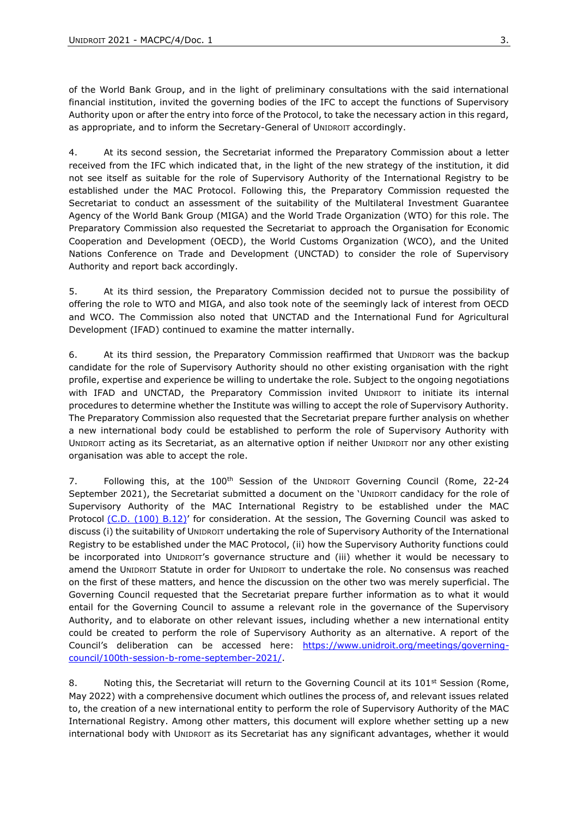of the World Bank Group, and in the light of preliminary consultations with the said international financial institution, invited the governing bodies of the IFC to accept the functions of Supervisory Authority upon or after the entry into force of the Protocol, to take the necessary action in this regard, as appropriate, and to inform the Secretary-General of UNIDROIT accordingly.

4. At its second session, the Secretariat informed the Preparatory Commission about a letter received from the IFC which indicated that, in the light of the new strategy of the institution, it did not see itself as suitable for the role of Supervisory Authority of the International Registry to be established under the MAC Protocol. Following this, the Preparatory Commission requested the Secretariat to conduct an assessment of the suitability of the Multilateral Investment Guarantee Agency of the World Bank Group (MIGA) and the World Trade Organization (WTO) for this role. The Preparatory Commission also requested the Secretariat to approach the Organisation for Economic Cooperation and Development (OECD), the World Customs Organization (WCO), and the United Nations Conference on Trade and Development (UNCTAD) to consider the role of Supervisory Authority and report back accordingly.

5. At its third session, the Preparatory Commission decided not to pursue the possibility of offering the role to WTO and MIGA, and also took note of the seemingly lack of interest from OECD and WCO. The Commission also noted that UNCTAD and the International Fund for Agricultural Development (IFAD) continued to examine the matter internally.

6. At its third session, the Preparatory Commission reaffirmed that UNIDROIT was the backup candidate for the role of Supervisory Authority should no other existing organisation with the right profile, expertise and experience be willing to undertake the role. Subject to the ongoing negotiations with IFAD and UNCTAD, the Preparatory Commission invited UNIDROIT to initiate its internal procedures to determine whether the Institute was willing to accept the role of Supervisory Authority. The Preparatory Commission also requested that the Secretariat prepare further analysis on whether a new international body could be established to perform the role of Supervisory Authority with UNIDROIT acting as its Secretariat, as an alternative option if neither UNIDROIT nor any other existing organisation was able to accept the role.

7. Following this, at the 100<sup>th</sup> Session of the UNIDROIT Governing Council (Rome, 22-24 September 2021), the Secretariat submitted a document on the 'UNIDROIT candidacy for the role of Supervisory Authority of the MAC International Registry to be established under the MAC Protocol [\(C.D. \(100\) B.12\)](https://www.unidroit.org/english/governments/councildocuments/2021session/cd-100-b/cd-100-b-12-e.pdf)' for consideration. At the session, The Governing Council was asked to discuss (i) the suitability of UNIDROIT undertaking the role of Supervisory Authority of the International Registry to be established under the MAC Protocol, (ii) how the Supervisory Authority functions could be incorporated into UNIDROIT's governance structure and (iii) whether it would be necessary to amend the UNIDROIT Statute in order for UNIDROIT to undertake the role. No consensus was reached on the first of these matters, and hence the discussion on the other two was merely superficial. The Governing Council requested that the Secretariat prepare further information as to what it would entail for the Governing Council to assume a relevant role in the governance of the Supervisory Authority, and to elaborate on other relevant issues, including whether a new international entity could be created to perform the role of Supervisory Authority as an alternative. A report of the Council's deliberation can be accessed here: [https://www.unidroit.org/meetings/governing](https://www.unidroit.org/meetings/governing-council/100th-session-b-rome-september-2021/)[council/100th-session-b-rome-september-2021/.](https://www.unidroit.org/meetings/governing-council/100th-session-b-rome-september-2021/)

8. Noting this, the Secretariat will return to the Governing Council at its 101<sup>st</sup> Session (Rome, May 2022) with a comprehensive document which outlines the process of, and relevant issues related to, the creation of a new international entity to perform the role of Supervisory Authority of the MAC International Registry. Among other matters, this document will explore whether setting up a new international body with UNIDROIT as its Secretariat has any significant advantages, whether it would